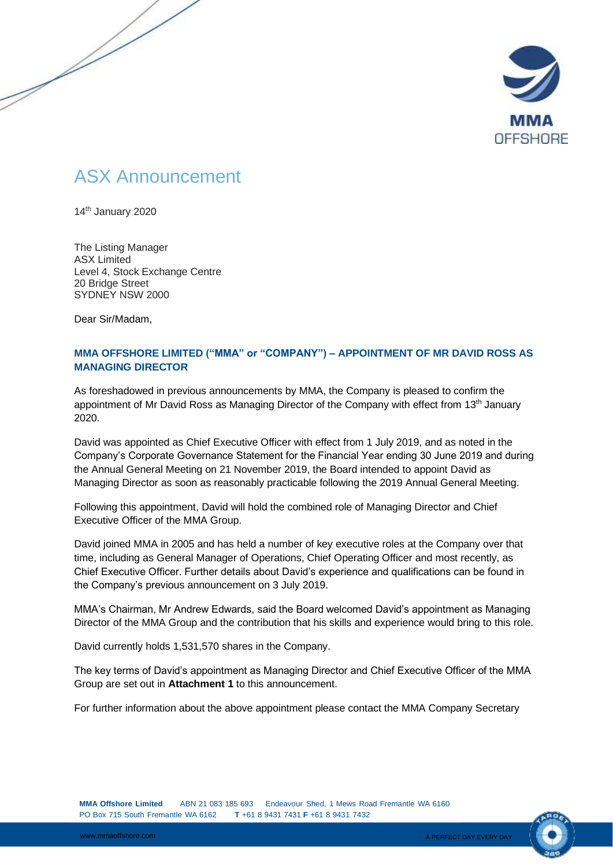

## ASX Announcement

14<sup>th</sup> January 2020

The Listing Manager ASX Limited Level 4, Stock Exchange Centre 20 Bridge Street SYDNEY NSW 2000

Dear Sir/Madam,

## **MMA OFFSHORE LIMITED ("MMA" or "COMPANY") – APPOINTMENT OF MR DAVID ROSS AS MANAGING DIRECTOR**

As foreshadowed in previous announcements by MMA, the Company is pleased to confirm the appointment of Mr David Ross as Managing Director of the Company with effect from 13<sup>th</sup> January 2020.

David was appointed as Chief Executive Officer with effect from 1 July 2019, and as noted in the Company's Corporate Governance Statement for the Financial Year ending 30 June 2019 and during the Annual General Meeting on 21 November 2019, the Board intended to appoint David as Managing Director as soon as reasonably practicable following the 2019 Annual General Meeting.

Following this appointment, David will hold the combined role of Managing Director and Chief Executive Officer of the MMA Group.

David joined MMA in 2005 and has held a number of key executive roles at the Company over that time, including as General Manager of Operations, Chief Operating Officer and most recently, as Chief Executive Officer. Further details about David's experience and qualifications can be found in the Company's previous announcement on 3 July 2019.

MMA's Chairman, Mr Andrew Edwards, said the Board welcomed David's appointment as Managing Director of the MMA Group and the contribution that his skills and experience would bring to this role.

David currently holds 1,531,570 shares in the Company.

The key terms of David's appointment as Managing Director and Chief Executive Officer of the MMA Group are set out in **Attachment 1** to this announcement.

For further information about the above appointment please contact the MMA Company Secretary

**MMA Offshore Limited** ABN 21 083 185 693 Endeavour Shed, 1 Mews Road Fremantle WA 6160 PO Box 715 South Fremantle WA 6162 **T** +61 8 9431 7431 **F** +61 8 9431 7432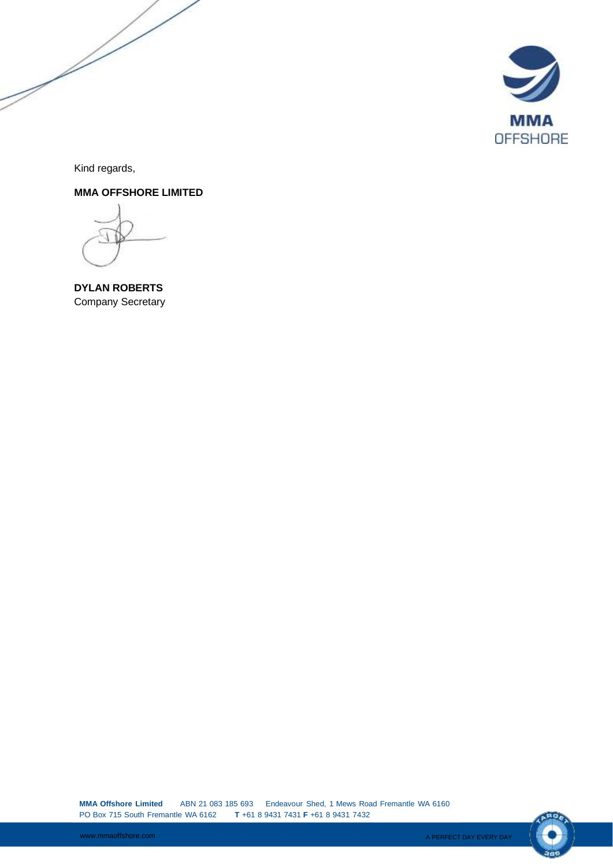

Kind regards,

**MMA OFFSHORE LIMITED** 

**DYLAN ROBERTS** Company Secretary

**MMA Offshore Limited** ABN 21 083 185 693 Endeavour Shed, 1 Mews Road Fremantle WA 6160 PO Box 715 South Fremantle WA 6162 **T** +61 8 9431 7431 **F** +61 8 9431 7432

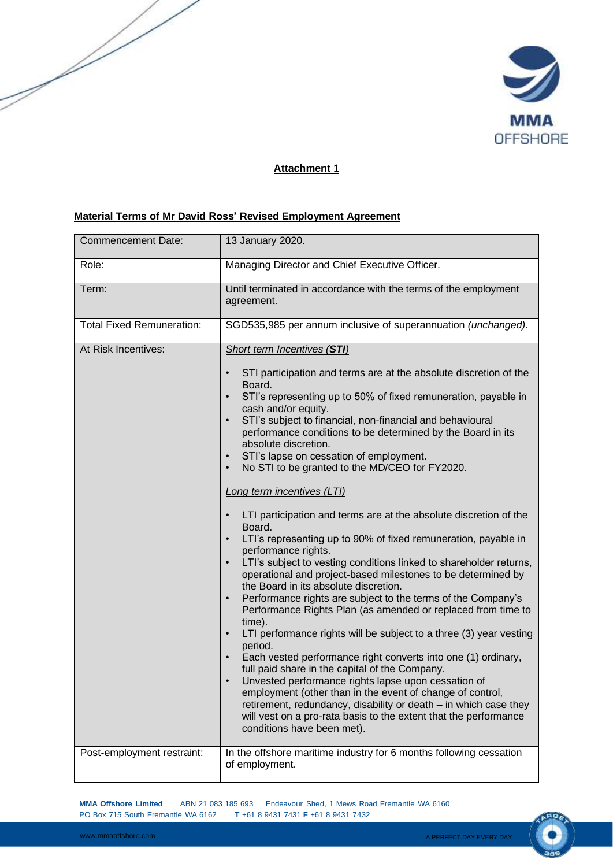

## **Attachment 1**

## **Material Terms of Mr David Ross' Revised Employment Agreement**

| <b>Commencement Date:</b>        | 13 January 2020.                                                                                                                                                                                                                                                                                                                                                                                                                                                                                                                                                                                                                                                                                                                                                                                                                                                                                                                                                                                                                                                                                                                                                                                                                                                                                                                                                                                                                                                                                                                       |
|----------------------------------|----------------------------------------------------------------------------------------------------------------------------------------------------------------------------------------------------------------------------------------------------------------------------------------------------------------------------------------------------------------------------------------------------------------------------------------------------------------------------------------------------------------------------------------------------------------------------------------------------------------------------------------------------------------------------------------------------------------------------------------------------------------------------------------------------------------------------------------------------------------------------------------------------------------------------------------------------------------------------------------------------------------------------------------------------------------------------------------------------------------------------------------------------------------------------------------------------------------------------------------------------------------------------------------------------------------------------------------------------------------------------------------------------------------------------------------------------------------------------------------------------------------------------------------|
| Role:                            | Managing Director and Chief Executive Officer.                                                                                                                                                                                                                                                                                                                                                                                                                                                                                                                                                                                                                                                                                                                                                                                                                                                                                                                                                                                                                                                                                                                                                                                                                                                                                                                                                                                                                                                                                         |
| Term:                            | Until terminated in accordance with the terms of the employment<br>agreement.                                                                                                                                                                                                                                                                                                                                                                                                                                                                                                                                                                                                                                                                                                                                                                                                                                                                                                                                                                                                                                                                                                                                                                                                                                                                                                                                                                                                                                                          |
| <b>Total Fixed Remuneration:</b> | SGD535,985 per annum inclusive of superannuation (unchanged).                                                                                                                                                                                                                                                                                                                                                                                                                                                                                                                                                                                                                                                                                                                                                                                                                                                                                                                                                                                                                                                                                                                                                                                                                                                                                                                                                                                                                                                                          |
| At Risk Incentives:              | <b>Short term Incentives (STI)</b><br>STI participation and terms are at the absolute discretion of the<br>Board.<br>STI's representing up to 50% of fixed remuneration, payable in<br>cash and/or equity.<br>STI's subject to financial, non-financial and behavioural<br>$\bullet$<br>performance conditions to be determined by the Board in its<br>absolute discretion.<br>STI's lapse on cessation of employment.<br>No STI to be granted to the MD/CEO for FY2020.<br>$\bullet$<br><b>Long term incentives (LTI)</b><br>LTI participation and terms are at the absolute discretion of the<br>Board.<br>LTI's representing up to 90% of fixed remuneration, payable in<br>performance rights.<br>LTI's subject to vesting conditions linked to shareholder returns,<br>operational and project-based milestones to be determined by<br>the Board in its absolute discretion.<br>Performance rights are subject to the terms of the Company's<br>$\bullet$<br>Performance Rights Plan (as amended or replaced from time to<br>time).<br>LTI performance rights will be subject to a three (3) year vesting<br>period.<br>Each vested performance right converts into one (1) ordinary,<br>full paid share in the capital of the Company.<br>Unvested performance rights lapse upon cessation of<br>employment (other than in the event of change of control,<br>retirement, redundancy, disability or death - in which case they<br>will vest on a pro-rata basis to the extent that the performance<br>conditions have been met). |
| Post-employment restraint:       | In the offshore maritime industry for 6 months following cessation<br>of employment.                                                                                                                                                                                                                                                                                                                                                                                                                                                                                                                                                                                                                                                                                                                                                                                                                                                                                                                                                                                                                                                                                                                                                                                                                                                                                                                                                                                                                                                   |

**MMA Offshore Limited** ABN 21 083 185 693 Endeavour Shed, 1 Mews Road Fremantle WA 6160 PO Box 715 South Fremantle WA 6162 **T** +61 8 9431 7431 **F** +61 8 9431 7432